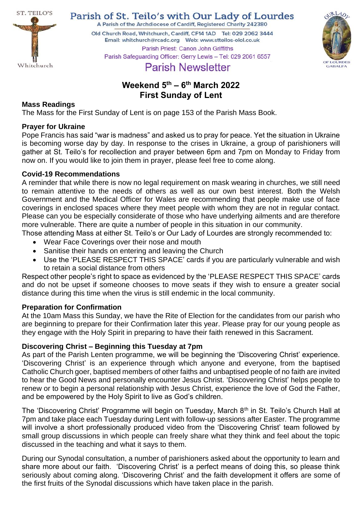

Parish of St. Teilo's with Our Lady of Lourdes

A Parish of the Archdiocese of Cardiff, Registered Charity 242380

Old Church Road, Whitchurch, Cardiff, CF14 1AD Tel: 029 2062 3444 Parish Priest: Canon John Griffiths



# Parish Safeguarding Officer: Gerry Lewis - Tel: 029 2061 6557 **Parish Newsletter**

# **Weekend 5 th – 6 th March 2022 First Sunday of Lent**

# **Mass Readings**

The Mass for the First Sunday of Lent is on page 153 of the Parish Mass Book.

# **Prayer for Ukraine**

Pope Francis has said "war is madness" and asked us to pray for peace. Yet the situation in Ukraine is becoming worse day by day. In response to the crises in Ukraine, a group of parishioners will gather at St. Teilo's for recollection and prayer between 6pm and 7pm on Monday to Friday from now on. If you would like to join them in prayer, please feel free to come along.

# **Covid-19 Recommendations**

A reminder that while there is now no legal requirement on mask wearing in churches, we still need to remain attentive to the needs of others as well as our own best interest. Both the Welsh Government and the Medical Officer for Wales are recommending that people make use of face coverings in enclosed spaces where they meet people with whom they are not in regular contact. Please can you be especially considerate of those who have underlying ailments and are therefore more vulnerable. There are quite a number of people in this situation in our community.

Those attending Mass at either St. Teilo's or Our Lady of Lourdes are strongly recommended to:

- Wear Face Coverings over their nose and mouth
- Sanitise their hands on entering and leaving the Church
- Use the 'PLEASE RESPECT THIS SPACE' cards if you are particularly vulnerable and wish to retain a social distance from others

Respect other people's right to space as evidenced by the 'PLEASE RESPECT THIS SPACE' cards and do not be upset if someone chooses to move seats if they wish to ensure a greater social distance during this time when the virus is still endemic in the local community.

# **Preparation for Confirmation**

At the 10am Mass this Sunday, we have the Rite of Election for the candidates from our parish who are beginning to prepare for their Confirmation later this year. Please pray for our young people as they engage with the Holy Spirit in preparing to have their faith renewed in this Sacrament.

# **Discovering Christ – Beginning this Tuesday at 7pm**

As part of the Parish Lenten programme, we will be beginning the 'Discovering Christ' experience. 'Discovering Christ' is an experience through which anyone and everyone, from the baptised Catholic Church goer, baptised members of other faiths and unbaptised people of no faith are invited to hear the Good News and personally encounter Jesus Christ. 'Discovering Christ' helps people to renew or to begin a personal relationship with Jesus Christ, experience the love of God the Father, and be empowered by the Holy Spirit to live as God's children.

The 'Discovering Christ' Programme will begin on Tuesday, March 8<sup>th</sup> in St. Teilo's Church Hall at 7pm and take place each Tuesday during Lent with follow-up sessions after Easter. The programme will involve a short professionally produced video from the 'Discovering Christ' team followed by small group discussions in which people can freely share what they think and feel about the topic discussed in the teaching and what it says to them.

During our Synodal consultation, a number of parishioners asked about the opportunity to learn and share more about our faith. 'Discovering Christ' is a perfect means of doing this, so please think seriously about coming along. 'Discovering Christ' and the faith development it offers are some of the first fruits of the Synodal discussions which have taken place in the parish.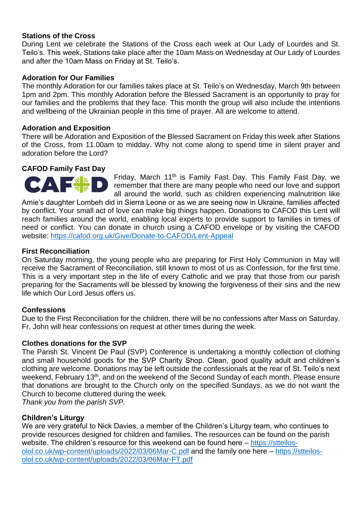# **Stations of the Cross**

During Lent we celebrate the Stations of the Cross each week at Our Lady of Lourdes and St. Teilo's. This week, Stations take place after the 10am Mass on Wednesday at Our Lady of Lourdes and after the 10am Mass on Friday at St. Teilo's.

# **Adoration for Our Families**

The monthly Adoration for our families takes place at St. Teilo's on Wednesday, March 9th between 1pm and 2pm. This monthly Adoration before the Blessed Sacrament is an opportunity to pray for our families and the problems that they face. This month the group will also include the intentions and wellbeing of the Ukrainian people in this time of prayer. All are welcome to attend.

### **Adoration and Exposition**

There will be Adoration and Exposition of the Blessed Sacrament on Friday this week after Stations of the Cross, from 11.00am to midday. Why not come along to spend time in silent prayer and adoration before the Lord?

# **CAFOD Family Fast Day**

Friday, March 11<sup>th</sup> is Family Fast Day. This Family Fast Day, we remember that there are many people who need our love and support all around the world, such as children experiencing malnutrition like

Amie's daughter Lombeh did in Sierra Leone or as we are seeing now in Ukraine, families affected by conflict. Your small act of love can make big things happen. Donations to CAFOD this Lent will reach families around the world, enabling local experts to provide support to families in times of need or conflict. You can donate in church using a CAFOD envelope or by visiting the CAFOD website:<https://cafod.org.uk/Give/Donate-to-CAFOD/Lent-Appeal>

# **First Reconciliation**

On Saturday morning, the young people who are preparing for First Holy Communion in May will receive the Sacrament of Reconciliation, still known to most of us as Confession, for the first time. This is a very important step in the life of every Catholic and we pray that those from our parish preparing for the Sacraments will be blessed by knowing the forgiveness of their sins and the new life which Our Lord Jesus offers us.

# **Confessions**

Due to the First Reconciliation for the children, there will be no confessions after Mass on Saturday. Fr. John will hear confessions on request at other times during the week.

#### **Clothes donations for the SVP**

The Parish St. Vincent De Paul (SVP) Conference is undertaking a monthly collection of clothing and small household goods for the SVP Charity Shop. Clean, good quality adult and children's clothing are welcome. Donations may be left outside the confessionals at the rear of St. Teilo's next weekend, February 13<sup>th</sup>, and on the weekend of the Second Sunday of each month. Please ensure that donations are brought to the Church only on the specified Sundays, as we do not want the Church to become cluttered during the week.

*Thank you from the parish SVP.*

# **Children's Liturgy**

We are very grateful to Nick Davies, a member of the Children's Liturgy team, who continues to provide resources designed for children and families. The resources can be found on the parish website. The children's resource for this weekend can be found here – [https://stteilos](https://stteilos-olol.co.uk/wp-content/uploads/2022/03/06Mar-C.pdf)[olol.co.uk/wp-content/uploads/2022/03/06Mar-C.pdf](https://stteilos-olol.co.uk/wp-content/uploads/2022/03/06Mar-C.pdf) and the family one here – [https://stteilos](https://stteilos-olol.co.uk/wp-content/uploads/2022/03/06Mar-FT.pdf)[olol.co.uk/wp-content/uploads/2022/03/06Mar-FT.pdf](https://stteilos-olol.co.uk/wp-content/uploads/2022/03/06Mar-FT.pdf)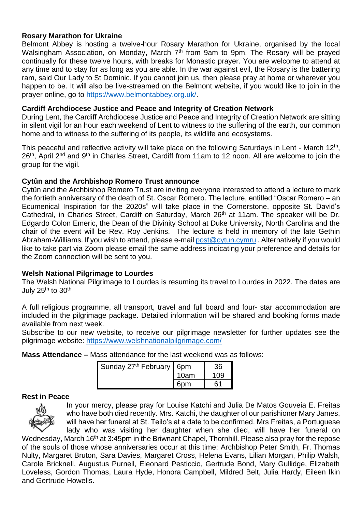# **Rosary Marathon for Ukraine**

Belmont Abbey is hosting a twelve-hour Rosary Marathon for Ukraine, organised by the local Walsingham Association, on Monday, March 7<sup>th</sup> from 9am to 9pm. The Rosary will be prayed continually for these twelve hours, with breaks for Monastic prayer. You are welcome to attend at any time and to stay for as long as you are able. In the war against evil, the Rosary is the battering ram, said Our Lady to St Dominic. If you cannot join us, then please pray at home or wherever you happen to be. It will also be live-streamed on the Belmont website, if you would like to join in the prayer online, go to [https://www.belmontabbey.org.uk/.](https://www.belmontabbey.org.uk/)

# **Cardiff Archdiocese Justice and Peace and Integrity of Creation Network**

During Lent, the Cardiff Archdiocese Justice and Peace and Integrity of Creation Network are sitting in silent vigil for an hour each weekend of Lent to witness to the suffering of the earth, our common home and to witness to the suffering of its people, its wildlife and ecosystems.

This peaceful and reflective activity will take place on the following Saturdays in Lent - March  $12<sup>th</sup>$ , 26<sup>th</sup>, April 2<sup>nd</sup> and 9<sup>th</sup> in Charles Street, Cardiff from 11am to 12 noon. All are welcome to join the group for the vigil.

# **Cytûn and the Archbishop Romero Trust announce**

Cytûn and the Archbishop Romero Trust are inviting everyone interested to attend a lecture to mark the fortieth anniversary of the death of St. Oscar Romero. The lecture, entitled "Oscar Romero – an Ecumenical Inspiration for the 2020s" will take place in the Cornerstone, opposite St. David's Cathedral, in Charles Street, Cardiff on Saturday, March 26<sup>th</sup> at 11am. The speaker will be Dr. Edgardo Colon Emeric, the Dean of the Divinity School at Duke University, North Carolina and the chair of the event will be Rev. Roy Jenkins. The lecture is held in memory of the late Gethin Abraham-Williams. If you wish to attend, please e-mai[l post@cytun.cymru](mailto:post@cytun.cymru) . Alternatively if you would like to take part via Zoom please email the same address indicating your preference and details for the Zoom connection will be sent to you.

# **Welsh National Pilgrimage to Lourdes**

The Welsh National Pilgrimage to Lourdes is resuming its travel to Lourdes in 2022. The dates are July  $25<sup>th</sup>$  to  $30<sup>th</sup>$ 

A full religious programme, all transport, travel and full board and four- star accommodation are included in the pilgrimage package. Detailed information will be shared and booking forms made available from next week.

Subscribe to our new website, to receive our pilgrimage newsletter for further updates see the pilgrimage website:<https://www.welshnationalpilgrimage.com/>

**Mass Attendance –** Mass attendance for the last weekend was as follows:

| Sunday 27 <sup>th</sup> February   6pm |      | 36 |
|----------------------------------------|------|----|
|                                        | 10am |    |
|                                        | 6nm  |    |

# **Rest in Peace**



In your mercy, please pray for Louise Katchi and Julia De Matos Gouveia E. Freitas who have both died recently. Mrs. Katchi, the daughter of our parishioner Mary James, will have her funeral at St. Teilo's at a date to be confirmed. Mrs Freitas, a Portuguese lady who was visiting her daughter when she died, will have her funeral on

Wednesday, March 16<sup>th</sup> at 3:45pm in the Briwnant Chapel, Thornhill. Please also pray for the repose of the souls of those whose anniversaries occur at this time: Archbishop Peter Smith, Fr. Thomas Nulty, Margaret Bruton, Sara Davies, Margaret Cross, Helena Evans, Lilian Morgan, Philip Walsh, Carole Bricknell, Augustus Purnell, Eleonard Pesticcio, Gertrude Bond, Mary Gullidge, Elizabeth Loveless, Gordon Thomas, Laura Hyde, Honora Campbell, Mildred Belt, Julia Hardy, Eileen Ikin and Gertrude Howells.